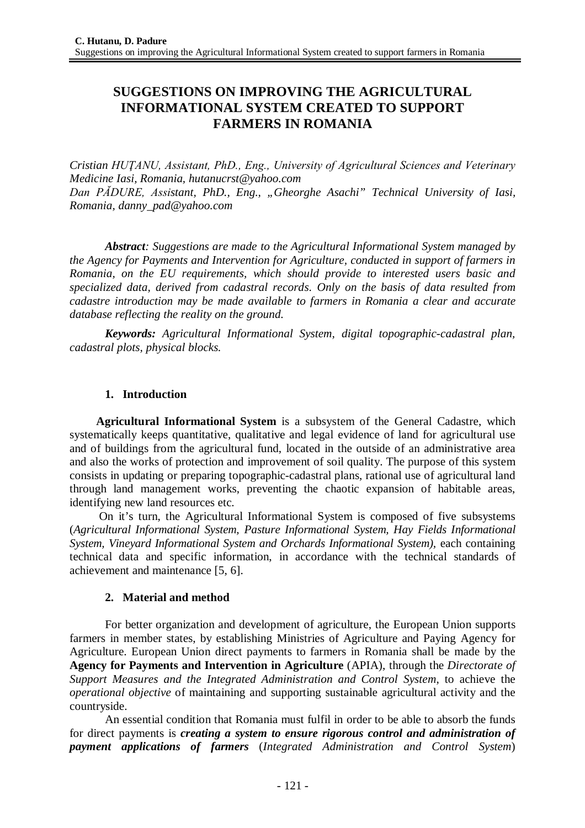# **SUGGESTIONS ON IMPROVING THE AGRICULTURAL INFORMATIONAL SYSTEM CREATED TO SUPPORT FARMERS IN ROMANIA**

*Cristian HUŢANU, Assistant, PhD., Eng., University of Agricultural Sciences and Veterinary Medicine Iasi, Romania, [hutanucrst@yahoo.com](mailto:hutanucrst@yahoo.com) Dan PĂDURE, Assistant, PhD., Eng., "Gheorghe Asachi" Technical University of Iasi, Romania, [danny\\_pad@yahoo.com](mailto:danny_pad@yahoo.com)*

*Abstract: Suggestions are made to the Agricultural Informational System managed by the Agency for Payments and Intervention for Agriculture, conducted in support of farmers in Romania, on the EU requirements, which should provide to interested users basic and specialized data, derived from cadastral records. Only on the basis of data resulted from cadastre introduction may be made available to farmers in Romania a clear and accurate database reflecting the reality on the ground.*

*Keywords: Agricultural Informational System, digital topographic-cadastral plan, cadastral plots, physical blocks.*

### **1. Introduction**

**Agricultural Informational System** is a subsystem of the General Cadastre, which systematically keeps quantitative, qualitative and legal evidence of land for agricultural use and of buildings from the agricultural fund, located in the outside of an administrative area and also the works of protection and improvement of soil quality. The purpose of this system consists in updating or preparing topographic-cadastral plans, rational use of agricultural land through land management works, preventing the chaotic expansion of habitable areas, identifying new land resources etc.

On it's turn, the Agricultural Informational System is composed of five subsystems (*Agricultural Informational System, Pasture Informational System, Hay Fields Informational System, Vineyard Informational System and Orchards Informational System),* each containing technical data and specific information, in accordance with the technical standards of achievement and maintenance [5, 6].

### **2. Material and method**

For better organization and development of agriculture, the European Union supports farmers in member states, by establishing Ministries of Agriculture and Paying Agency for Agriculture. European Union direct payments to farmers in Romania shall be made by the **Agency for Payments and Intervention in Agriculture** (APIA), through the *Directorate of Support Measures and the Integrated Administration and Control System*, to achieve the *operational objective* of maintaining and supporting sustainable agricultural activity and the countryside.

An essential condition that Romania must fulfil in order to be able to absorb the funds for direct payments is *creating a system to ensure rigorous control and administration of payment applications of farmers* (*Integrated Administration and Control System*)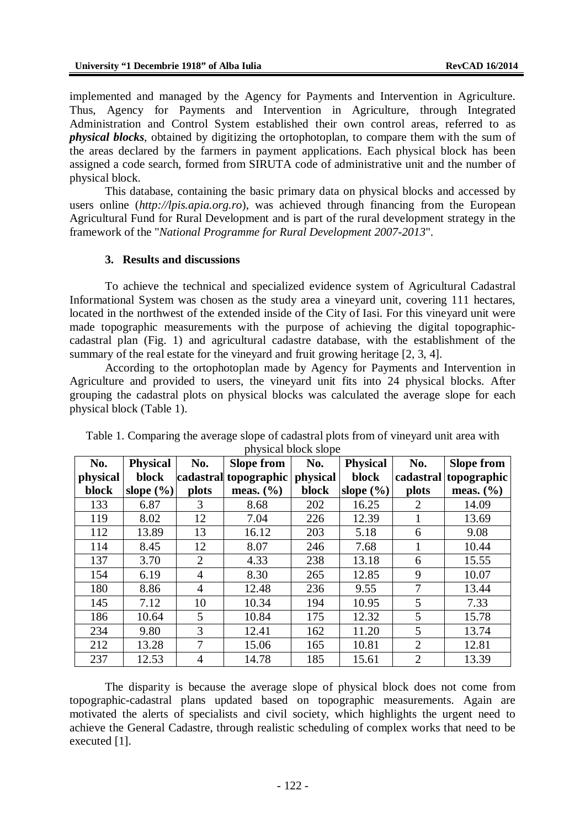implemented and managed by the Agency for Payments and Intervention in Agriculture. Thus, Agency for Payments and Intervention in Agriculture, through Integrated Administration and Control System established their own control areas, referred to as *physical blocks*, obtained by digitizing the ortophotoplan, to compare them with the sum of the areas declared by the farmers in payment applications. Each physical block has been assigned a code search, formed from SIRUTA code of administrative unit and the number of physical block.

This database, containing the basic primary data on physical blocks and accessed by users online (*<http://lpis.apia.org.ro>*), was achieved through financing from the European Agricultural Fund for Rural Development and is part of the rural development strategy in the framework of the "*National Programme for Rural Development 2007-2013*".

#### **3. Results and discussions**

To achieve the technical and specialized evidence system of Agricultural Cadastral Informational System was chosen as the study area a vineyard unit, covering 111 hectares, located in the northwest of the extended inside of the City of Iasi. For this vineyard unit were made topographic measurements with the purpose of achieving the digital topographiccadastral plan (Fig. 1) and agricultural cadastre database, with the establishment of the summary of the real estate for the vineyard and fruit growing heritage [2, 3, 4].

According to the ortophotoplan made by Agency for Payments and Intervention in Agriculture and provided to users, the vineyard unit fits into 24 physical blocks. After grouping the cadastral plots on physical blocks was calculated the average slope for each physical block (Table 1).

| No.      | <b>Physical</b> | No.            | <b>Slope from</b>     | $P_{\text{max}}$ or $P_{\text{max}}$ or $P_{\text{max}}$<br>No. | <b>Physical</b> | No.            | <b>Slope from</b>     |
|----------|-----------------|----------------|-----------------------|-----------------------------------------------------------------|-----------------|----------------|-----------------------|
| physical | block           |                | cadastral topographic | physical                                                        | block           |                | cadastral topographic |
| block    | slope $(\% )$   | plots          | meas. $(\% )$         | block                                                           | slope $(\% )$   | plots          | meas. $(\% )$         |
| 133      | 6.87            | 3              | 8.68                  | 202                                                             | 16.25           | 2              | 14.09                 |
| 119      | 8.02            | 12             | 7.04                  | 226                                                             | 12.39           |                | 13.69                 |
| 112      | 13.89           | 13             | 16.12                 | 203                                                             | 5.18            | 6              | 9.08                  |
| 114      | 8.45            | 12             | 8.07                  | 246                                                             | 7.68            |                | 10.44                 |
| 137      | 3.70            | 2              | 4.33                  | 238                                                             | 13.18           | 6              | 15.55                 |
| 154      | 6.19            | $\overline{4}$ | 8.30                  | 265                                                             | 12.85           | 9              | 10.07                 |
| 180      | 8.86            | 4              | 12.48                 | 236                                                             | 9.55            | 7              | 13.44                 |
| 145      | 7.12            | 10             | 10.34                 | 194                                                             | 10.95           | 5              | 7.33                  |
| 186      | 10.64           | 5              | 10.84                 | 175                                                             | 12.32           | 5              | 15.78                 |
| 234      | 9.80            | 3              | 12.41                 | 162                                                             | 11.20           | 5              | 13.74                 |
| 212      | 13.28           | 7              | 15.06                 | 165                                                             | 10.81           | $\overline{2}$ | 12.81                 |
| 237      | 12.53           | 4              | 14.78                 | 185                                                             | 15.61           | $\overline{2}$ | 13.39                 |

Table 1. Comparing the average slope of cadastral plots from of vineyard unit area with physical block slope

The disparity is because the average slope of physical block does not come from topographic-cadastral plans updated based on topographic measurements. Again are motivated the alerts of specialists and civil society, which highlights the urgent need to achieve the General Cadastre, through realistic scheduling of complex works that need to be executed [1].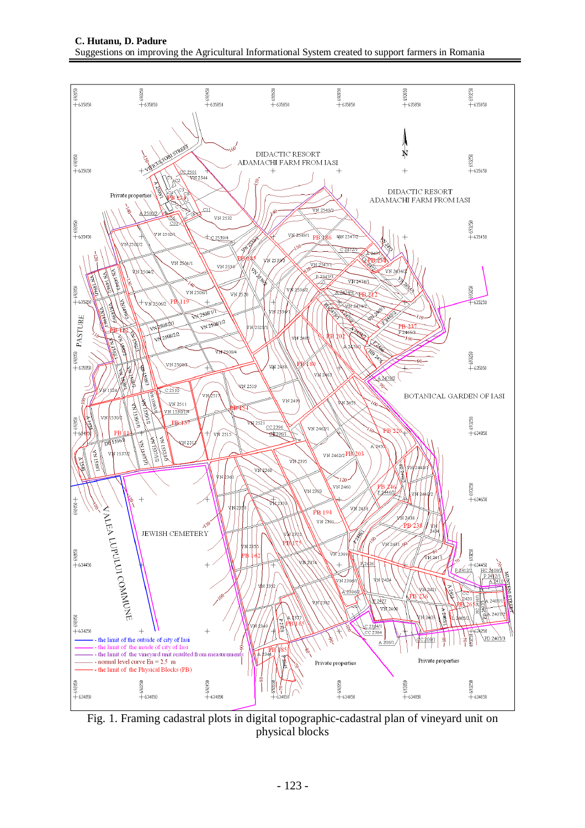

Fig. 1. Framing cadastral plots in digital topographic-cadastral plan of vineyard unit on physical blocks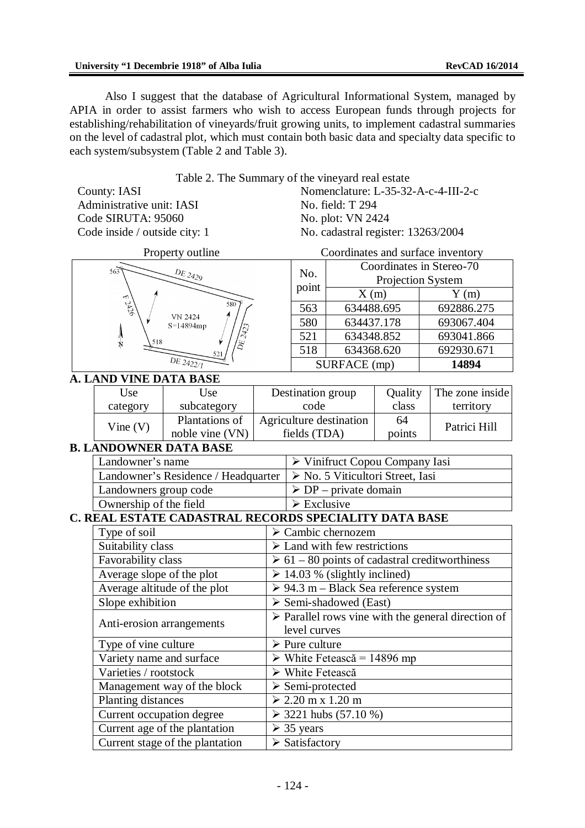Also I suggest that the database of Agricultural Informational System, managed by APIA in order to assist farmers who wish to access European funds through projects for establishing/rehabilitation of vineyards/fruit growing units, to implement cadastral summaries on the level of cadastral plot, which must contain both basic data and specialty data specific to each system/subsystem (Table 2 and Table 3).

Table 2. The Summary of the vineyard real estate

County: IASI Administrative unit: IASI Code SIRUTA: 95060 Code inside / outside city: 1 Nomenclature: L-35-32-A-c-4-III-2-c No. field: T 294 No. plot: VN 2424 No. cadastral register: 13263/2004

| 563    | ${\cal D}E_{2429}$    |
|--------|-----------------------|
| E 2426 | 580<br><b>VN 2424</b> |
| 518    | S=14894mp<br>DE 2423  |
| Ņ      | 521<br>DE 2422/1      |

Property outline Coordinates and surface inventory

| No.          | Coordinates in Stereo-70 |            |  |  |  |
|--------------|--------------------------|------------|--|--|--|
|              | Projection System        |            |  |  |  |
| point        | X(m)                     | Y(m)       |  |  |  |
| 563          | 634488.695               | 692886.275 |  |  |  |
| 580          | 634437.178               | 693067.404 |  |  |  |
| 521          | 634348.852               | 693041.866 |  |  |  |
| 518          | 634368.620               | 692930.671 |  |  |  |
| SURFACE (mp) |                          | 14894      |  |  |  |

### **A. LAND VINE DATA BASE**

| Use      | Use             | Destination group       | Quality | The zone inside |
|----------|-----------------|-------------------------|---------|-----------------|
| category | subcategory     | code                    | class   | territory       |
| Vine(V)  | Plantations of  | Agriculture destination | 64      | Patrici Hill    |
|          | noble vine (VN) | fields (TDA)            | points  |                 |

## **B. LANDOWNER DATA BASE**

| Landowner's name                                                                    | $\triangleright$ Vinifruct Copou Company Iasi |  |  |  |
|-------------------------------------------------------------------------------------|-----------------------------------------------|--|--|--|
| Landowner's Residence / Headquarter $\triangleright$ No. 5 Viticultori Street, Iasi |                                               |  |  |  |
| Landowners group code                                                               | $\triangleright$ DP – private domain          |  |  |  |
| Ownership of the field                                                              | $\triangleright$ Exclusive                    |  |  |  |

## **C. REAL ESTATE CADASTRAL RECORDS SPECIALITY DATA BASE**

| Type of soil                    | $\triangleright$ Cambic chernozem                                 |  |  |  |
|---------------------------------|-------------------------------------------------------------------|--|--|--|
| Suitability class               | $\triangleright$ Land with few restrictions                       |  |  |  |
| Favorability class              | $\geq 61 - 80$ points of cadastral creditworthiness               |  |  |  |
| Average slope of the plot       | $\geq$ 14.03 % (slightly inclined)                                |  |  |  |
| Average altitude of the plot    | $\geq 94.3$ m – Black Sea reference system                        |  |  |  |
| Slope exhibition                | $\triangleright$ Semi-shadowed (East)                             |  |  |  |
|                                 | $\triangleright$ Parallel rows vine with the general direction of |  |  |  |
| Anti-erosion arrangements       | level curves                                                      |  |  |  |
| Type of vine culture            | $\triangleright$ Pure culture                                     |  |  |  |
| Variety name and surface        | $\triangleright$ White Fetească = 14896 mp                        |  |  |  |
| Varieties / rootstock           | $\triangleright$ White Fetească                                   |  |  |  |
| Management way of the block     | $\triangleright$ Semi-protected                                   |  |  |  |
| Planting distances              | $> 2.20$ m x 1.20 m                                               |  |  |  |
| Current occupation degree       | $\geq$ 3221 hubs (57.10 %)                                        |  |  |  |
| Current age of the plantation   | $\geq$ 35 years                                                   |  |  |  |
| Current stage of the plantation | $\triangleright$ Satisfactory                                     |  |  |  |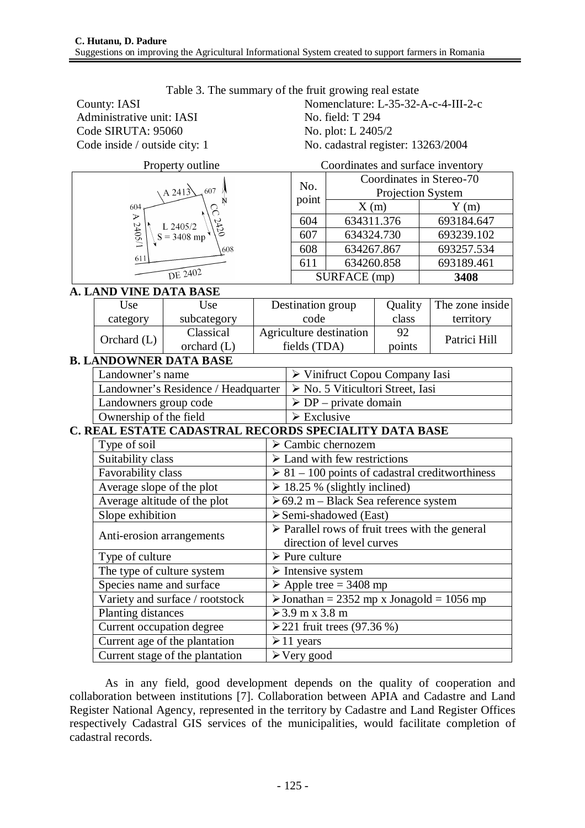| County: IASI                  |                                 |                                     |  | Nomenclature: L-35-32-A-c-4-III-2-c                                                         |                                   |         |                                   |  |
|-------------------------------|---------------------------------|-------------------------------------|--|---------------------------------------------------------------------------------------------|-----------------------------------|---------|-----------------------------------|--|
| Administrative unit: IASI     |                                 |                                     |  | No. field: T 294                                                                            |                                   |         |                                   |  |
| Code SIRUTA: 95060            |                                 |                                     |  | No. plot: L 2405/2                                                                          |                                   |         |                                   |  |
| Code inside / outside city: 1 |                                 |                                     |  | No. cadastral register: 13263/2004                                                          |                                   |         |                                   |  |
|                               |                                 | Property outline                    |  |                                                                                             |                                   |         | Coordinates and surface inventory |  |
|                               |                                 |                                     |  | No.                                                                                         |                                   |         | Coordinates in Stereo-70          |  |
|                               |                                 | $A$ 2413<br>607                     |  |                                                                                             | point<br>X(m)                     |         | Projection System                 |  |
|                               | 604                             | N                                   |  |                                                                                             |                                   |         | Y(m)                              |  |
|                               |                                 | L 2405/2                            |  | 604                                                                                         | 634311.376                        |         | 693184.647                        |  |
|                               | 1/5040                          | $S = 3408$ mp                       |  | 607                                                                                         | 634324.730                        |         | 693239.102                        |  |
|                               |                                 | 608                                 |  | 608                                                                                         | 634267.867                        |         | 693257.534                        |  |
|                               | 611                             |                                     |  | 611                                                                                         | 634260.858                        |         | 693189.461                        |  |
|                               |                                 | DE 2402                             |  |                                                                                             | SURFACE (mp)                      |         | 3408                              |  |
|                               | <b>A. LAND VINE DATA BASE</b>   |                                     |  |                                                                                             |                                   |         |                                   |  |
|                               | Use                             | Use                                 |  | Destination group                                                                           |                                   | Quality | The zone inside                   |  |
|                               | category                        | subcategory                         |  | code                                                                                        |                                   | class   | territory                         |  |
|                               | Orchard $(L)$                   | Classical                           |  |                                                                                             | Agriculture destination           | 92      | Patrici Hill                      |  |
|                               |                                 | orchard $(L)$                       |  | fields (TDA)                                                                                |                                   | points  |                                   |  |
|                               |                                 | <b>B. LANDOWNER DATA BASE</b>       |  |                                                                                             |                                   |         |                                   |  |
|                               | Landowner's name                |                                     |  | $\triangleright$ Vinifruct Copou Company Iasi                                               |                                   |         |                                   |  |
|                               |                                 | Landowner's Residence / Headquarter |  | > No. 5 Viticultori Street, Iasi<br>$\triangleright$ DP – private domain                    |                                   |         |                                   |  |
|                               | Landowners group code           |                                     |  |                                                                                             |                                   |         |                                   |  |
|                               | Ownership of the field          |                                     |  | $\triangleright$ Exclusive<br>C. REAL ESTATE CADASTRAL RECORDS SPECIALITY DATA BASE         |                                   |         |                                   |  |
|                               |                                 |                                     |  |                                                                                             |                                   |         |                                   |  |
|                               | Type of soil                    |                                     |  |                                                                                             | $\triangleright$ Cambic chernozem |         |                                   |  |
|                               | Suitability class               |                                     |  | $\triangleright$ Land with few restrictions                                                 |                                   |         |                                   |  |
|                               | Favorability class              |                                     |  | $\geq 81 - 100$ points of cadastral creditworthiness                                        |                                   |         |                                   |  |
|                               | Average slope of the plot       |                                     |  | $\geq$ 18.25 % (slightly inclined)                                                          |                                   |         |                                   |  |
|                               | Average altitude of the plot    |                                     |  | $\geq 69.2$ m – Black Sea reference system                                                  |                                   |         |                                   |  |
|                               | Slope exhibition                |                                     |  | $\triangleright$ Semi-shadowed (East)                                                       |                                   |         |                                   |  |
|                               | Anti-erosion arrangements       |                                     |  | $\triangleright$ Parallel rows of fruit trees with the general<br>direction of level curves |                                   |         |                                   |  |
|                               | Type of culture                 |                                     |  | $\triangleright$ Pure culture                                                               |                                   |         |                                   |  |
|                               | The type of culture system      |                                     |  | $\triangleright$ Intensive system                                                           |                                   |         |                                   |  |
|                               | Species name and surface        |                                     |  | $\triangleright$ Apple tree = 3408 mp                                                       |                                   |         |                                   |  |
|                               | Variety and surface / rootstock |                                     |  | $\triangleright$ Jonathan = 2352 mp x Jonagold = 1056 mp                                    |                                   |         |                                   |  |
|                               | <b>Planting distances</b>       |                                     |  | $>3.9$ m x 3.8 m                                                                            |                                   |         |                                   |  |
|                               | Current occupation degree       |                                     |  | ≻221 fruit trees $(97.36\%)$                                                                |                                   |         |                                   |  |
|                               | Current age of the plantation   |                                     |  | $\geq 11$ years                                                                             |                                   |         |                                   |  |
|                               | Current stage of the plantation |                                     |  | $\triangleright$ Very good                                                                  |                                   |         |                                   |  |

Table 3. The summary of the fruit growing real estate

As in any field, good development depends on the quality of cooperation and collaboration between institutions [7]. Collaboration between APIA and Cadastre and Land Register National Agency, represented in the territory by Cadastre and Land Register Offices respectively Cadastral GIS services of the municipalities, would facilitate completion of cadastral records.